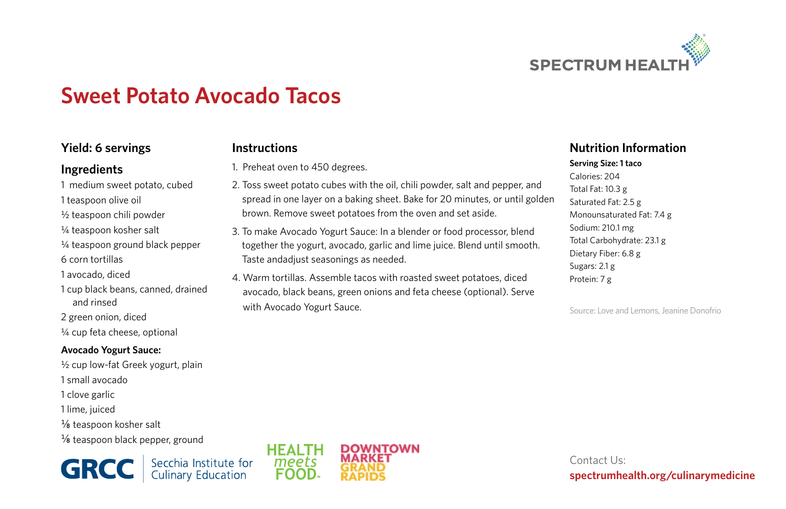

# **Sweet Potato Avocado Tacos**

**Instructions**

1. Preheat oven to 450 degrees.

with Avocado Yogurt Sauce.

Taste andadjust seasonings as needed.

2. Toss sweet potato cubes with the oil, chili powder, salt and pepper, and spread in one layer on a baking sheet. Bake for 20 minutes, or until golden

brown. Remove sweet potatoes from the oven and set aside. 3. To make Avocado Yogurt Sauce: In a blender or food processor, blend together the yogurt, avocado, garlic and lime juice. Blend until smooth.

4. Warm tortillas. Assemble tacos with roasted sweet potatoes, diced avocado, black beans, green onions and feta cheese (optional). Serve

### **Yield: 6 servings**

### **Ingredients**

- 1 medium sweet potato, cubed 1 teaspoon olive oil
- ½ teaspoon chili powder
- ¼ teaspoon kosher salt
- ¼ teaspoon ground black pepper
- 6 corn tortillas
- 1 avocado, diced
- 1 cup black beans, canned, drained and rinsed
- 2 green onion, diced
- ¼ cup feta cheese, optional

#### **Avocado Yogurt Sauce:**

- ½ cup low-fat Greek yogurt, plain 1 small avocado 1 clove garlic 1 lime, juiced ¼8 teaspoon kosher salt
- $\frac{1}{8}$  teaspoon black pepper, ground

**GRCC** Secchia Institute for



### **Nutrition Information**

**Serving Size: 1 taco** Calories: 204 Total Fat: 10.3 g Saturated Fat: 2.5 g Monounsaturated Fat: 7.4 g Sodium: 210.1 mg Total Carbohydrate: 23.1 g Dietary Fiber: 6.8 g Sugars: 2.1 g Protein: 7 g

Source: Love and Lemons, Jeanine Donofrio

Contact Us: **spectrumhealth.org/culinarymedicine**